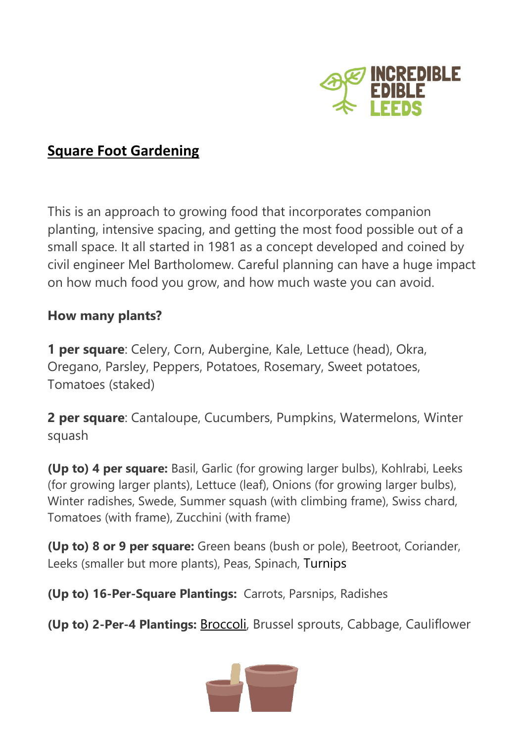

## **Square Foot Gardening**

This is an approach to growing food that incorporates companion planting, intensive spacing, and getting the most food possible out of a small space. It all started in 1981 as a concept developed and coined by civil engineer Mel Bartholomew. Careful planning can have a huge impact on how much food you grow, and how much waste you can avoid.

## **How many plants?**

**1 per square**: Celery, Corn, Aubergine, Kale, Lettuce (head), Okra, Oregano, Parsley, Peppers, Potatoes, Rosemary, Sweet potatoes, Tomatoes (staked)

**2 per square**: Cantaloupe, Cucumbers, Pumpkins, Watermelons, Winter squash

**(Up to) 4 per square:** Basil, Garlic (for growing larger bulbs), Kohlrabi, Leeks (for growing larger plants), Lettuce (leaf), Onions (for growing larger bulbs), Winter radishes, Swede, Summer squash (with climbing frame), Swiss chard, Tomatoes (with frame), Zucchini (with frame)

**(Up to) 8 or 9 per square:** Green beans (bush or pole), Beetroot, Coriander, Leeks (smaller but more plants), Peas, Spinach, Turnips

**(Up to) 16-Per-Square Plantings:** Carrots, Parsnips, Radishes

**(Up to) 2-Per-4 Plantings:** [Broccoli,](https://gardenerspath.com/plants/vegetables/grow-broccoli/) Brussel sprouts, Cabbage, Cauliflower